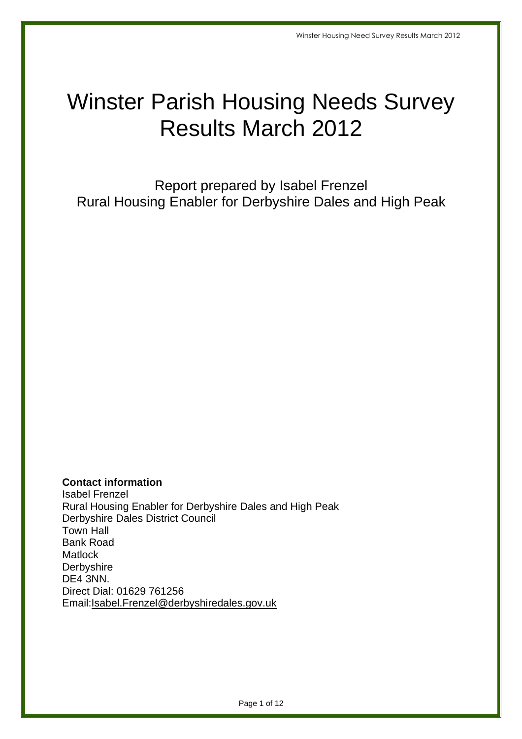## Winster Parish Housing Needs Survey Results March 2012

 Report prepared by Isabel Frenzel Rural Housing Enabler for Derbyshire Dales and High Peak

**Contact information** 

 Isabel Frenzel Rural Housing Enabler for Derbyshire Dales and High Peak Derbyshire Dales District Council Town Hall DE4 3NN. Direct Dial: 01629 761256 Bank Road **Matlock Derbyshire** Email:Isabel.Frenzel@derbyshiredales.gov.uk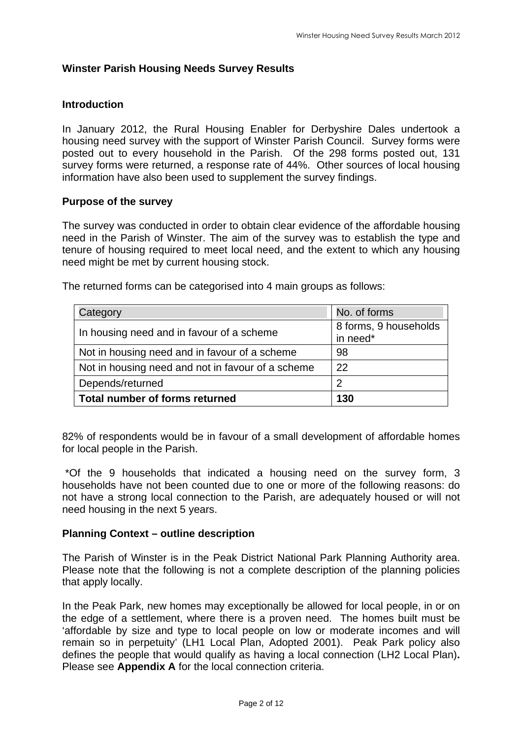#### **Winster Parish Housing Needs Survey Results**

#### **Introduction**

 In January 2012, the Rural Housing Enabler for Derbyshire Dales undertook a housing need survey with the support of Winster Parish Council. Survey forms were posted out to every household in the Parish. Of the 298 forms posted out, 131 survey forms were returned, a response rate of 44%. Other sources of local housing information have also been used to supplement the survey findings.

#### **Purpose of the survey**

 The survey was conducted in order to obtain clear evidence of the affordable housing need in the Parish of Winster. The aim of the survey was to establish the type and tenure of housing required to meet local need, and the extent to which any housing need might be met by current housing stock.

| Category                                          | No. of forms                      |
|---------------------------------------------------|-----------------------------------|
| In housing need and in favour of a scheme         | 8 forms, 9 households<br>in need* |
| Not in housing need and in favour of a scheme     | 98                                |
| Not in housing need and not in favour of a scheme | 22                                |
| Depends/returned                                  | 2                                 |
| Total number of forms returned                    | 130                               |

The returned forms can be categorised into 4 main groups as follows:

 82% of respondents would be in favour of a small development of affordable homes for local people in the Parish.

 \*Of the 9 households that indicated a housing need on the survey form, 3 households have not been counted due to one or more of the following reasons: do not have a strong local connection to the Parish, are adequately housed or will not need housing in the next 5 years.

#### **Planning Context – outline description**

 The Parish of Winster is in the Peak District National Park Planning Authority area. Please note that the following is not a complete description of the planning policies that apply locally.

that apply locally.<br>In the Peak Park, new homes may exceptionally be allowed for local people, in or on the edge of a settlement, where there is a proven need. The homes built must be 'affordable by size and type to local people on low or moderate incomes and will remain so in perpetuity' (LH1 Local Plan, Adopted 2001). Peak Park policy also defines the people that would qualify as having a local connection (LH2 Local Plan)**.**  Please see **Appendix A** for the local connection criteria.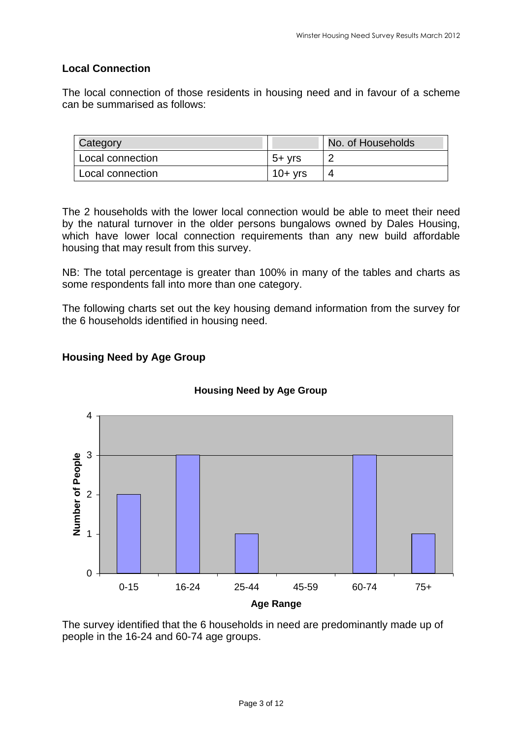#### **Local Connection**

 The local connection of those residents in housing need and in favour of a scheme can be summarised as follows:

| Category         |               | No. of Households |
|------------------|---------------|-------------------|
| Local connection | $5+$ $\nu$ rs |                   |
| Local connection | $10+vrs$      |                   |

 The 2 households with the lower local connection would be able to meet their need by the natural turnover in the older persons bungalows owned by Dales Housing, which have lower local connection requirements than any new build affordable housing that may result from this survey.

 NB: The total percentage is greater than 100% in many of the tables and charts as some respondents fall into more than one category.

 The following charts set out the key housing demand information from the survey for the 6 households identified in housing need.

#### **Housing Need by Age Group**



#### **Housing Need by Age Group**

 The survey identified that the 6 households in need are predominantly made up of people in the 16-24 and 60-74 age groups.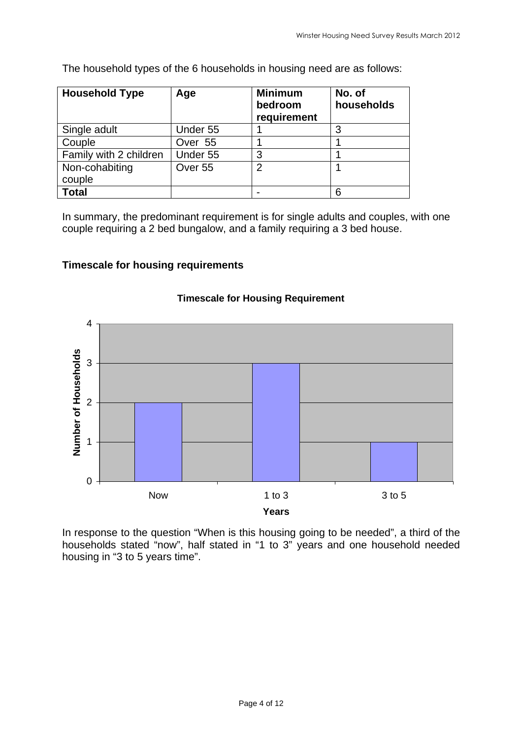The household types of the 6 households in housing need are as follows:

| <b>Household Type</b>  | Age                | <b>Minimum</b><br>bedroom<br>requirement | No. of<br>households |
|------------------------|--------------------|------------------------------------------|----------------------|
| Single adult           | Under 55           |                                          |                      |
| Couple                 | Over 55            |                                          |                      |
| Family with 2 children | Under 55           | 3                                        |                      |
| Non-cohabiting         | Over <sub>55</sub> | $\overline{2}$                           |                      |
| couple                 |                    |                                          |                      |
| Total                  |                    |                                          |                      |

 In summary, the predominant requirement is for single adults and couples, with one couple requiring a 2 bed bungalow, and a family requiring a 3 bed house.

#### **Timescale for housing requirements**



#### **Timescale for Housing Requirement**

 In response to the question "When is this housing going to be needed", a third of the households stated "now", half stated in "1 to 3" years and one household needed housing in "3 to 5 years time".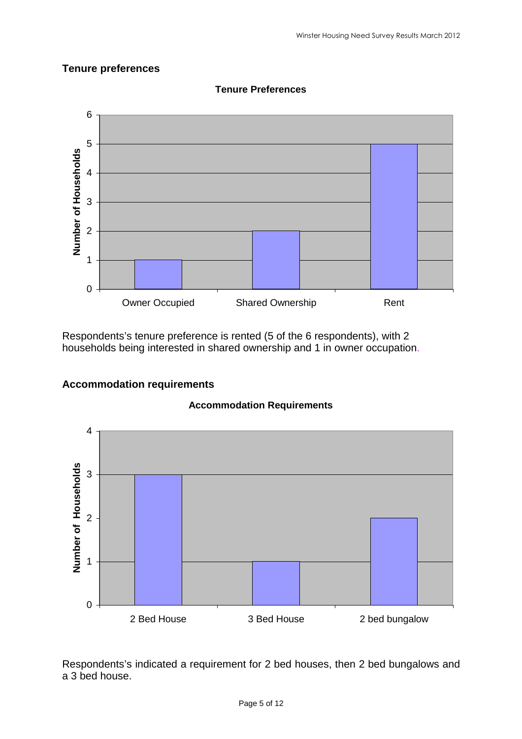#### **Tenure preferences**



**Tenure Preferences** 

 Respondents's tenure preference is rented (5 of the 6 respondents), with 2 households being interested in shared ownership and 1 in owner occupation.

# **Accommodation requirements Accommodation Requirements**



 Respondents's indicated a requirement for 2 bed houses, then 2 bed bungalows and a 3 bed house.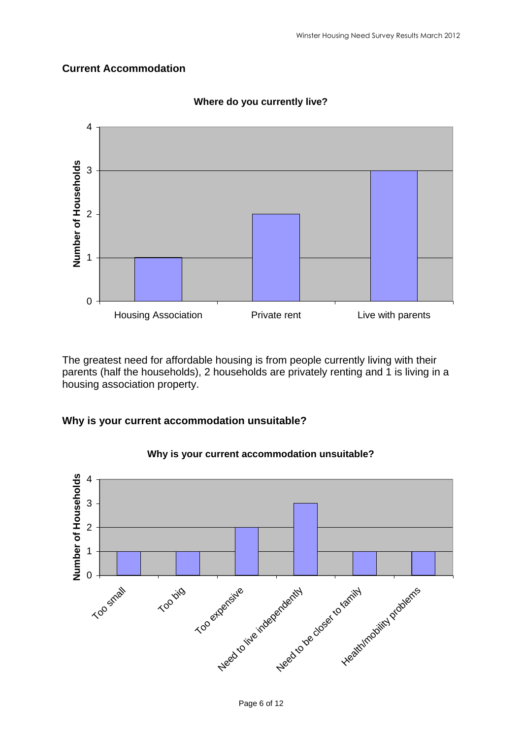#### **Current Accommodation**



 **Where do you currently live?** 

 The greatest need for affordable housing is from people currently living with their parents (half the households), 2 households are privately renting and 1 is living in a housing association property.

#### **Why is your current accommodation unsuitable?**



#### **Why is your current accommodation unsuitable?**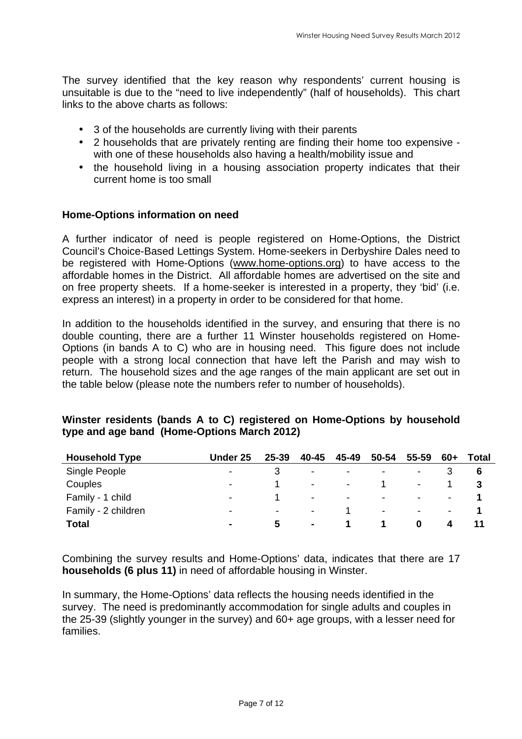The survey identified that the key reason why respondents' current housing is unsuitable is due to the "need to live independently" (half of households). This chart links to the above charts as follows:

- 3 of the households are currently living with their parents
- • 2 households that are privately renting are finding their home too expensive with one of these households also having a health/mobility issue and
- • the household living in a housing association property indicates that their current home is too small

#### **Home-Options information on need**

 A further indicator of need is people registered on Home-Options, the District Council's Choice-Based Lettings System. Home-seekers in Derbyshire Dales need to be registered with Home-Options ([www.home-options.org\)](www.home-options.org) to have access to the affordable homes in the District. All affordable homes are advertised on the site and on free property sheets. If a home-seeker is interested in a property, they 'bid' (i.e. express an interest) in a property in order to be considered for that home.

 In addition to the households identified in the survey, and ensuring that there is no double counting, there are a further 11 Winster households registered on Home- Options (in bands A to C) who are in housing need. This figure does not include people with a strong local connection that have left the Parish and may wish to return. The household sizes and the age ranges of the main applicant are set out in the table below (please note the numbers refer to number of households).

| <b>Household Type</b> | Under 25                 | 25-39                    | 40-45            | 45-49          | 50-54                    | 55-59                    | 60+                      | Total |
|-----------------------|--------------------------|--------------------------|------------------|----------------|--------------------------|--------------------------|--------------------------|-------|
| Single People         | $\overline{\phantom{0}}$ |                          | $\blacksquare$   | $\blacksquare$ | $\blacksquare$           | $\overline{\phantom{a}}$ |                          | 6     |
| Couples               | $\blacksquare$           |                          | $\sim$ 100 $\mu$ | $\blacksquare$ |                          | $\overline{\phantom{a}}$ |                          |       |
| Family - 1 child      | $\,$                     |                          | $\blacksquare$   | $\blacksquare$ | $\blacksquare$           | $\overline{\phantom{0}}$ | $\overline{\phantom{a}}$ |       |
| Family - 2 children   | $\overline{\phantom{0}}$ | $\overline{\phantom{a}}$ | $\blacksquare$   |                | $\overline{\phantom{a}}$ | $\blacksquare$           | $\blacksquare$           |       |
| Total                 |                          | 5.                       | $\sim$           |                |                          | 0                        | 4                        |       |

#### **Winster residents (bands A to C) registered on Home-Options by household type and age band (Home-Options March 2012)**

 Combining the survey results and Home-Options' data, indicates that there are 17  **households (6 plus 11)** in need of affordable housing in Winster.

 In summary, the Home-Options' data reflects the housing needs identified in the survey. The need is predominantly accommodation for single adults and couples in the 25-39 (slightly younger in the survey) and 60+ age groups, with a lesser need for families.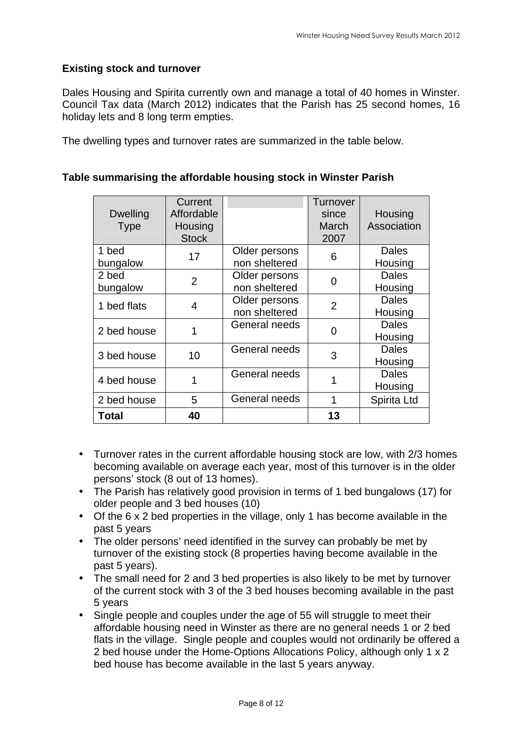#### **Existing stock and turnover**

 Dales Housing and Spirita currently own and manage a total of 40 homes in Winster. Council Tax data (March 2012) indicates that the Parish has 25 second homes, 16 holiday lets and 8 long term empties.

The dwelling types and turnover rates are summarized in the table below.

| <b>Dwelling</b><br><b>Type</b> | Current<br>Affordable<br>Housing<br><b>Stock</b> |                                | Turnover<br>since<br>March<br>2007 | Housing<br>Association  |
|--------------------------------|--------------------------------------------------|--------------------------------|------------------------------------|-------------------------|
| 1 bed<br>bungalow              | 17                                               | Older persons<br>non sheltered | 6                                  | Dales<br>Housing        |
| 2 bed<br>bungalow              | $\overline{2}$                                   | Older persons<br>non sheltered | 0                                  | <b>Dales</b><br>Housing |
| 1 bed flats                    | 4                                                | Older persons<br>non sheltered | $\overline{2}$                     | <b>Dales</b><br>Housing |
| 2 bed house                    | 1                                                | General needs                  | 0                                  | <b>Dales</b><br>Housing |
| 3 bed house                    | 10                                               | General needs                  | 3                                  | <b>Dales</b><br>Housing |
| 4 bed house                    | 1                                                | General needs                  |                                    | <b>Dales</b><br>Housing |
| 2 bed house                    | 5                                                | General needs                  | 1                                  | Spirita Ltd             |
| Total                          | 40                                               |                                | 13                                 |                         |

#### **Table summarising the affordable housing stock in Winster Parish**

- • Turnover rates in the current affordable housing stock are low, with 2/3 homes becoming available on average each year, most of this turnover is in the older persons' stock (8 out of 13 homes).
- • The Parish has relatively good provision in terms of 1 bed bungalows (17) for older people and 3 bed houses (10)
- • Of the 6 x 2 bed properties in the village, only 1 has become available in the past 5 years
- • The older persons' need identified in the survey can probably be met by turnover of the existing stock (8 properties having become available in the past 5 years).
- • The small need for 2 and 3 bed properties is also likely to be met by turnover of the current stock with 3 of the 3 bed houses becoming available in the past 5 years
- • Single people and couples under the age of 55 will struggle to meet their affordable housing need in Winster as there are no general needs 1 or 2 bed flats in the village. Single people and couples would not ordinarily be offered a 2 bed house under the Home-Options Allocations Policy, although only 1 x 2 bed house has become available in the last 5 years anyway.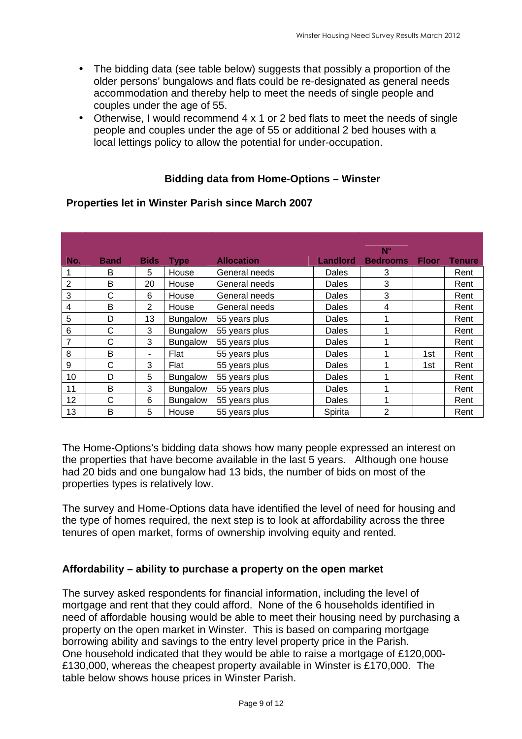- • The bidding data (see table below) suggests that possibly a proportion of the older persons' bungalows and flats could be re-designated as general needs accommodation and thereby help to meet the needs of single people and couples under the age of 55.
- • Otherwise, I would recommend 4 x 1 or 2 bed flats to meet the needs of single people and couples under the age of 55 or additional 2 bed houses with a local lettings policy to allow the potential for under-occupation.

#### **Bidding data from Home-Options – Winster**

| No.                     | <b>Band</b> | <b>Bids</b> | <b>Type</b>     | <b>Allocation</b> | <b>Landlord</b> | $N^{\circ}$<br><b>Bedrooms</b> | <b>Floor</b> | <b>Tenure</b> |
|-------------------------|-------------|-------------|-----------------|-------------------|-----------------|--------------------------------|--------------|---------------|
| 1                       | B           | 5           | House           | General needs     | Dales           | 3                              |              | Rent          |
| $\overline{2}$          | B           | 20          | House           | General needs     | Dales           | 3                              |              | Rent          |
| 3                       | C           | 6           | House           | General needs     | Dales           | 3                              |              | Rent          |
| $\overline{\mathbf{4}}$ | B           | 2           | House           | General needs     | Dales           | 4                              |              | Rent          |
| 5                       | D           | 13          | <b>Bungalow</b> | 55 years plus     | Dales           | 1                              |              | Rent          |
| $\,6$                   | C           | 3           | Bungalow        | 55 years plus     | Dales           | 1                              |              | Rent          |
| $\overline{7}$          | С           | 3           | Bungalow        | 55 years plus     | Dales           | 1                              |              | Rent          |
| 8                       | B           | ۰           | Flat            | 55 years plus     | Dales           |                                | 1st          | Rent          |
| 9                       | C           | 3           | Flat            | 55 years plus     | Dales           | 1                              | 1st.         | Rent          |
| 10                      | D           | 5           | <b>Bungalow</b> | 55 years plus     | Dales           | 1                              |              | Rent          |
| 11                      | B           | 3           | Bungalow        | 55 years plus     | Dales           |                                |              | Rent          |
| 12                      | C           | 6           | Bungalow        | 55 years plus     | Dales           | 1                              |              | Rent          |
| 13                      | B           | 5           | House           | 55 years plus     | Spirita         | $\overline{2}$                 |              | Rent          |

#### **Properties let in Winster Parish since March 2007**

 The Home-Options's bidding data shows how many people expressed an interest on the properties that have become available in the last 5 years. Although one house had 20 bids and one bungalow had 13 bids, the number of bids on most of the properties types is relatively low.

properties types is relatively low.<br>The survey and Home-Options data have identified the level of need for housing and the type of homes required, the next step is to look at affordability across the three tenures of open market, forms of ownership involving equity and rented.

#### **Affordability – ability to purchase a property on the open market**

 The survey asked respondents for financial information, including the level of mortgage and rent that they could afford. None of the 6 households identified in need of affordable housing would be able to meet their housing need by purchasing a property on the open market in Winster. This is based on comparing mortgage borrowing ability and savings to the entry level property price in the Parish. One household indicated that they would be able to raise a mortgage of £120,000- £130,000, whereas the cheapest property available in Winster is £170,000. The table below shows house prices in Winster Parish.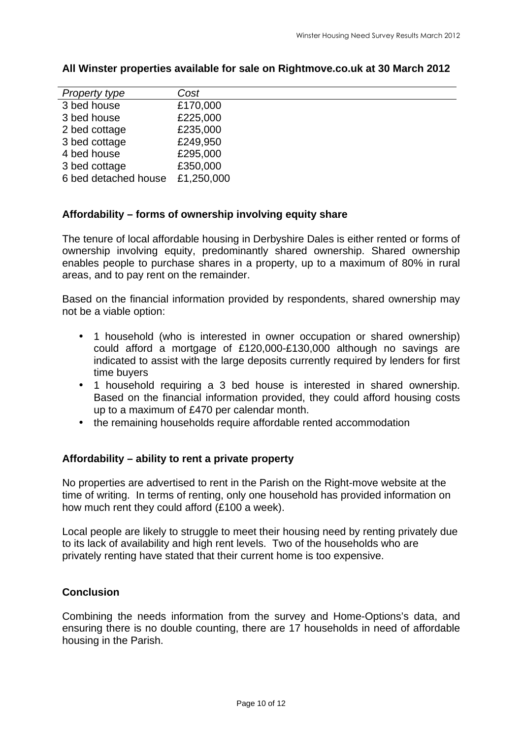| <b>Property type</b> | Cost       |
|----------------------|------------|
| 3 bed house          | £170,000   |
| 3 bed house          | £225,000   |
| 2 bed cottage        | £235,000   |
| 3 bed cottage        | £249,950   |
| 4 bed house          | £295,000   |
| 3 bed cottage        | £350,000   |
| 6 bed detached house | £1,250,000 |

#### **All Winster properties available for sale on [Rightmove.co.uk](https://Rightmove.co.uk) at 30 March 2012**

#### **Affordability – forms of ownership involving equity share**

 The tenure of local affordable housing in Derbyshire Dales is either rented or forms of ownership involving equity, predominantly shared ownership. Shared ownership enables people to purchase shares in a property, up to a maximum of 80% in rural areas, and to pay rent on the remainder.

 Based on the financial information provided by respondents, shared ownership may not be a viable option:

- • 1 household (who is interested in owner occupation or shared ownership) could afford a mortgage of £120,000-£130,000 although no savings are indicated to assist with the large deposits currently required by lenders for first time buyers
- • 1 household requiring a 3 bed house is interested in shared ownership. Based on the financial information provided, they could afford housing costs up to a maximum of £470 per calendar month.
- the remaining households require affordable rented accommodation

#### **Affordability – ability to rent a private property**

 No properties are advertised to rent in the Parish on the Right-move website at the time of writing. In terms of renting, only one household has provided information on how much rent they could afford (£100 a week).

 Local people are likely to struggle to meet their housing need by renting privately due to its lack of availability and high rent levels. Two of the households who are privately renting have stated that their current home is too expensive.

#### **Conclusion**

 Combining the needs information from the survey and Home-Options's data, and ensuring there is no double counting, there are 17 households in need of affordable housing in the Parish.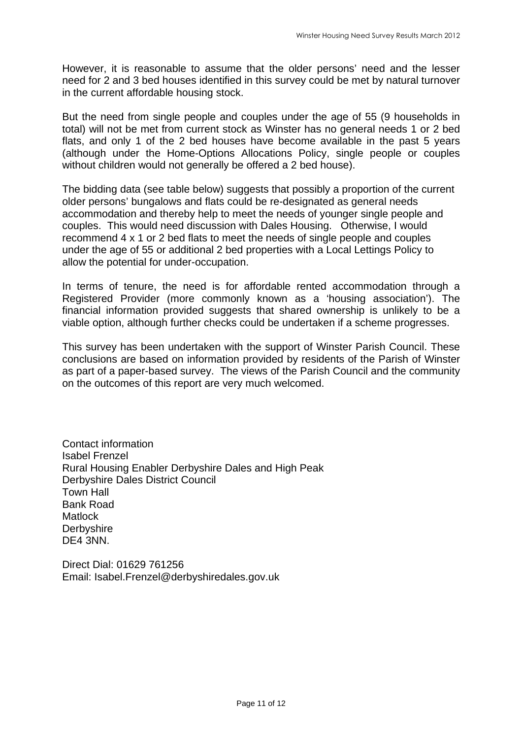However, it is reasonable to assume that the older persons' need and the lesser need for 2 and 3 bed houses identified in this survey could be met by natural turnover in the current affordable housing stock.

 But the need from single people and couples under the age of 55 (9 households in total) will not be met from current stock as Winster has no general needs 1 or 2 bed flats, and only 1 of the 2 bed houses have become available in the past 5 years (although under the Home-Options Allocations Policy, single people or couples without children would not generally be offered a 2 bed house).

 The bidding data (see table below) suggests that possibly a proportion of the current older persons' bungalows and flats could be re-designated as general needs accommodation and thereby help to meet the needs of younger single people and couples. This would need discussion with Dales Housing. Otherwise, I would recommend 4 x 1 or 2 bed flats to meet the needs of single people and couples under the age of 55 or additional 2 bed properties with a Local Lettings Policy to allow the potential for under-occupation.

 In terms of tenure, the need is for affordable rented accommodation through a Registered Provider (more commonly known as a 'housing association'). The financial information provided suggests that shared ownership is unlikely to be a viable option, although further checks could be undertaken if a scheme progresses.

 This survey has been undertaken with the support of Winster Parish Council. These conclusions are based on information provided by residents of the Parish of Winster as part of a paper-based survey. The views of the Parish Council and the community on the outcomes of this report are very much welcomed.

 Contact information Isabel Frenzel Rural Housing Enabler Derbyshire Dales and High Peak Derbyshire Dales District Council Town Hall DE4 3NN. Bank Road Matlock **Derbyshire** 

 Direct Dial: 01629 761256 Email: Isabel.Frenzel@derbyshiredales.gov.uk